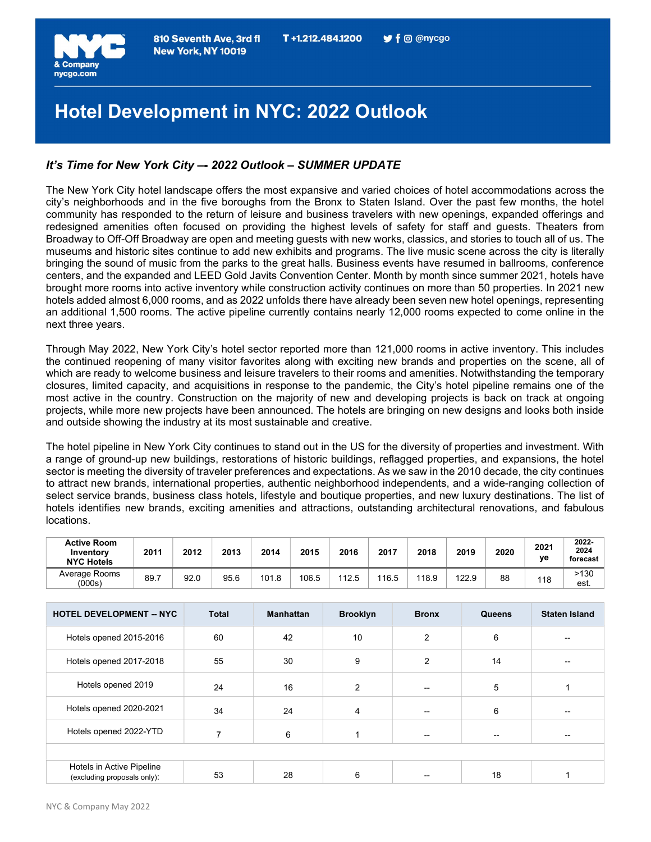

# Hotel Development in NYC: 2022 Outlook

# It's Time for New York City –- 2022 Outlook – SUMMER UPDATE

The New York City hotel landscape offers the most expansive and varied choices of hotel accommodations across the city's neighborhoods and in the five boroughs from the Bronx to Staten Island. Over the past few months, the hotel community has responded to the return of leisure and business travelers with new openings, expanded offerings and redesigned amenities often focused on providing the highest levels of safety for staff and guests. Theaters from Broadway to Off-Off Broadway are open and meeting guests with new works, classics, and stories to touch all of us. The museums and historic sites continue to add new exhibits and programs. The live music scene across the city is literally bringing the sound of music from the parks to the great halls. Business events have resumed in ballrooms, conference centers, and the expanded and LEED Gold Javits Convention Center. Month by month since summer 2021, hotels have brought more rooms into active inventory while construction activity continues on more than 50 properties. In 2021 new hotels added almost 6,000 rooms, and as 2022 unfolds there have already been seven new hotel openings, representing an additional 1,500 rooms. The active pipeline currently contains nearly 12,000 rooms expected to come online in the next three years.

Through May 2022, New York City's hotel sector reported more than 121,000 rooms in active inventory. This includes the continued reopening of many visitor favorites along with exciting new brands and properties on the scene, all of which are ready to welcome business and leisure travelers to their rooms and amenities. Notwithstanding the temporary closures, limited capacity, and acquisitions in response to the pandemic, the City's hotel pipeline remains one of the most active in the country. Construction on the majority of new and developing projects is back on track at ongoing projects, while more new projects have been announced. The hotels are bringing on new designs and looks both inside and outside showing the industry at its most sustainable and creative.

The hotel pipeline in New York City continues to stand out in the US for the diversity of properties and investment. With a range of ground-up new buildings, restorations of historic buildings, reflagged properties, and expansions, the hotel sector is meeting the diversity of traveler preferences and expectations. As we saw in the 2010 decade, the city continues to attract new brands, international properties, authentic neighborhood independents, and a wide-ranging collection of select service brands, business class hotels, lifestyle and boutique properties, and new luxury destinations. The list of hotels identifies new brands, exciting amenities and attractions, outstanding architectural renovations, and fabulous locations.

| <b>Active Room</b><br>Inventory<br><b>NYC Hotels</b> | 2011 | 2012 | 2013 | 2014  | 2015  | 2016 | 2017  | 2018  | 2019  | 2020 | 2021<br>ve | 2022-<br>2024<br>forecast |
|------------------------------------------------------|------|------|------|-------|-------|------|-------|-------|-------|------|------------|---------------------------|
| Average Rooms<br>(000s)                              | 89.7 | 92.0 | 95.6 | 101.8 | 106.5 | 12 5 | 116.5 | 118.9 | 122.9 | 88   | 118        | >130<br>est.              |

| <b>HOTEL DEVELOPMENT -- NYC</b>                          | <b>Total</b> | <b>Manhattan</b> | <b>Brooklyn</b> | <b>Bronx</b> | Queens | <b>Staten Island</b> |
|----------------------------------------------------------|--------------|------------------|-----------------|--------------|--------|----------------------|
| Hotels opened 2015-2016                                  | 60           | 42               | 10              | 2            | 6      | --                   |
| Hotels opened 2017-2018                                  | 55           | 30               | 9               | 2            | 14     |                      |
| Hotels opened 2019                                       | 24           | 16               | $\overline{2}$  |              | 5      |                      |
| Hotels opened 2020-2021                                  | 34           | 24               | 4               |              | 6      | $- -$                |
| Hotels opened 2022-YTD                                   | ⇁            | 6                |                 |              |        | --                   |
|                                                          |              |                  |                 |              |        |                      |
| Hotels in Active Pipeline<br>(excluding proposals only): | 53           | 28               | 6               |              | 18     |                      |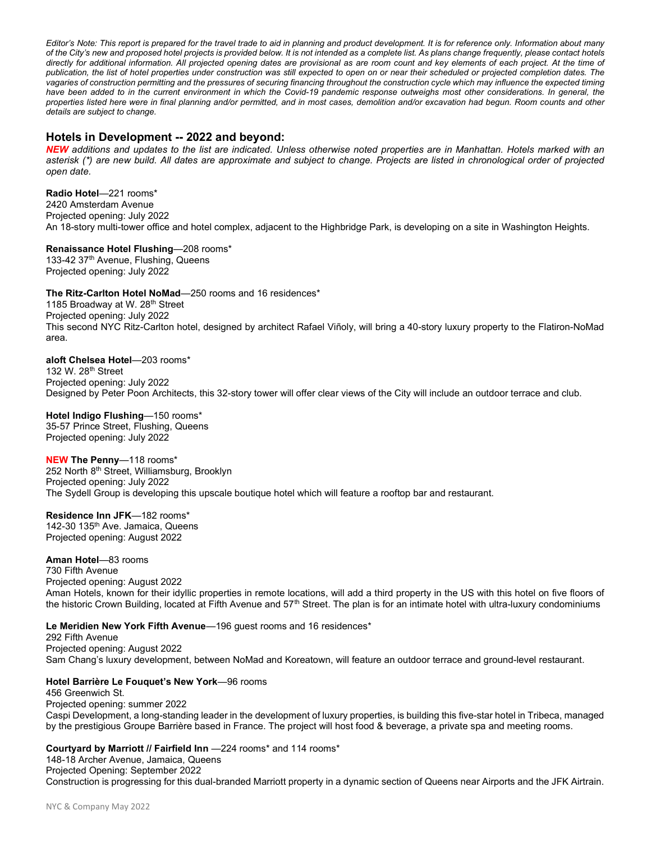Editor's Note: This report is prepared for the travel trade to aid in planning and product development. It is for reference only. Information about many of the City's new and proposed hotel projects is provided below. It is not intended as a complete list. As plans change frequently, please contact hotels directly for additional information. All projected opening dates are provisional as are room count and key elements of each project. At the time of publication, the list of hotel properties under construction was still expected to open on or near their scheduled or projected completion dates. The vagaries of construction permitting and the pressures of securing financing throughout the construction cycle which may influence the expected timing have been added to in the current environment in which the Covid-19 pandemic response outweighs most other considerations. In general, the properties listed here were in final planning and/or permitted, and in most cases, demolition and/or excavation had begun. Room counts and other details are subject to change.

# Hotels in Development -- 2022 and beyond:

NEW additions and updates to the list are indicated. Unless otherwise noted properties are in Manhattan. Hotels marked with an asterisk (\*) are new build. All dates are approximate and subject to change. Projects are listed in chronological order of projected open date.

Radio Hotel—221 rooms\* 2420 Amsterdam Avenue Projected opening: July 2022 An 18-story multi-tower office and hotel complex, adjacent to the Highbridge Park, is developing on a site in Washington Heights.

Renaissance Hotel Flushing—208 rooms\* 133-42 37<sup>th</sup> Avenue, Flushing, Queens Projected opening: July 2022

The Ritz-Carlton Hotel NoMad—250 rooms and 16 residences\*

1185 Broadway at W. 28<sup>th</sup> Street Projected opening: July 2022 This second NYC Ritz-Carlton hotel, designed by architect Rafael Viñoly, will bring a 40-story luxury property to the Flatiron-NoMad area.

aloft Chelsea Hotel—203 rooms\*

132 W. 28th Street Projected opening: July 2022 Designed by Peter Poon Architects, this 32-story tower will offer clear views of the City will include an outdoor terrace and club.

Hotel Indigo Flushing—150 rooms\* 35-57 Prince Street, Flushing, Queens Projected opening: July 2022

NEW The Penny—118 rooms\* 252 North 8<sup>th</sup> Street, Williamsburg, Brooklyn Projected opening: July 2022 The Sydell Group is developing this upscale boutique hotel which will feature a rooftop bar and restaurant.

Residence Inn JFK—182 rooms\* 142-30 135<sup>th</sup> Ave. Jamaica, Queens Projected opening: August 2022

Aman Hotel—83 rooms 730 Fifth Avenue Projected opening: August 2022 Aman Hotels, known for their idyllic properties in remote locations, will add a third property in the US with this hotel on five floors of the historic Crown Building, located at Fifth Avenue and  $57<sup>th</sup>$  Street. The plan is for an intimate hotel with ultra-luxury condominiums

#### Le Meridien New York Fifth Avenue-196 guest rooms and 16 residences\*

292 Fifth Avenue Projected opening: August 2022 Sam Chang's luxury development, between NoMad and Koreatown, will feature an outdoor terrace and ground-level restaurant.

#### Hotel Barrière Le Fouquet's New York—96 rooms

456 Greenwich St. Projected opening: summer 2022 Caspi Development, a long-standing leader in the development of luxury properties, is building this five-star hotel in Tribeca, managed by the prestigious Groupe Barrière based in France. The project will host food & beverage, a private spa and meeting rooms.

Courtyard by Marriott // Fairfield Inn —224 rooms\* and 114 rooms\*

148-18 Archer Avenue, Jamaica, Queens Projected Opening: September 2022 Construction is progressing for this dual-branded Marriott property in a dynamic section of Queens near Airports and the JFK Airtrain.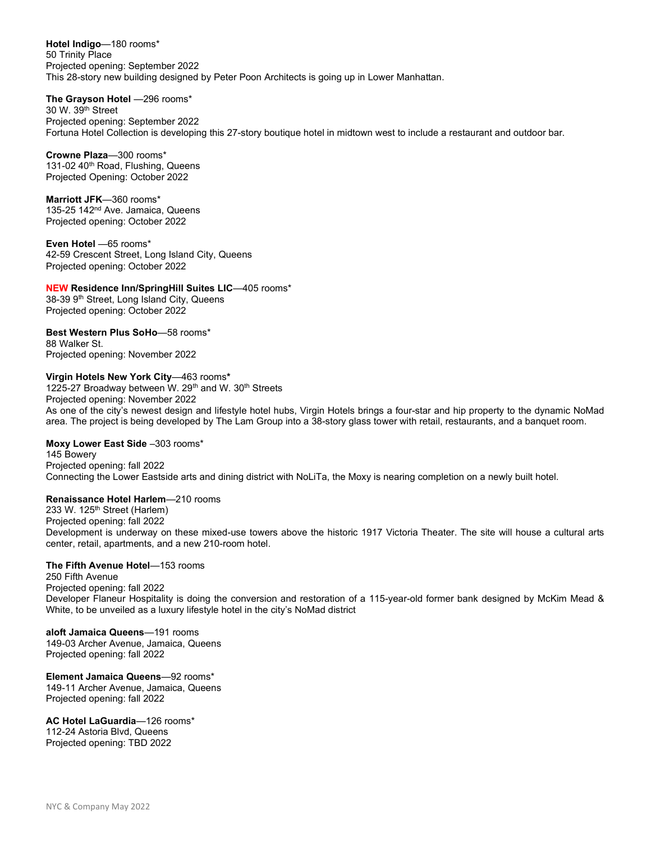Hotel Indigo—180 rooms\* 50 Trinity Place Projected opening: September 2022 This 28-story new building designed by Peter Poon Architects is going up in Lower Manhattan.

The Grayson Hotel —296 rooms\*

30 W. 39th Street Projected opening: September 2022 Fortuna Hotel Collection is developing this 27-story boutique hotel in midtown west to include a restaurant and outdoor bar.

Crowne Plaza—300 rooms\* 131-02 40<sup>th</sup> Road, Flushing, Queens Projected Opening: October 2022

Marriott JFK—360 rooms\* 135-25 142<sup>nd</sup> Ave. Jamaica, Queens Projected opening: October 2022

Even Hotel —65 rooms\* 42-59 Crescent Street, Long Island City, Queens Projected opening: October 2022

NEW Residence Inn/SpringHill Suites LIC—405 rooms\* 38-39 9th Street, Long Island City, Queens Projected opening: October 2022

Best Western Plus SoHo—58 rooms\* 88 Walker St. Projected opening: November 2022

Virgin Hotels New York City—463 rooms\*

1225-27 Broadway between W. 29<sup>th</sup> and W. 30<sup>th</sup> Streets Projected opening: November 2022

As one of the city's newest design and lifestyle hotel hubs, Virgin Hotels brings a four-star and hip property to the dynamic NoMad area. The project is being developed by The Lam Group into a 38-story glass tower with retail, restaurants, and a banquet room.

Moxy Lower East Side –303 rooms\*

145 Bowery Projected opening: fall 2022 Connecting the Lower Eastside arts and dining district with NoLiTa, the Moxy is nearing completion on a newly built hotel.

Renaissance Hotel Harlem—210 rooms

233 W. 125<sup>th</sup> Street (Harlem) Projected opening: fall 2022 Development is underway on these mixed-use towers above the historic 1917 Victoria Theater. The site will house a cultural arts center, retail, apartments, and a new 210-room hotel.

### The Fifth Avenue Hotel—153 rooms

250 Fifth Avenue Projected opening: fall 2022 Developer Flaneur Hospitality is doing the conversion and restoration of a 115-year-old former bank designed by McKim Mead & White, to be unveiled as a luxury lifestyle hotel in the city's NoMad district

aloft Jamaica Queens—191 rooms 149-03 Archer Avenue, Jamaica, Queens Projected opening: fall 2022

Element Jamaica Queens—92 rooms\* 149-11 Archer Avenue, Jamaica, Queens Projected opening: fall 2022

AC Hotel LaGuardia—126 rooms\* 112-24 Astoria Blvd, Queens Projected opening: TBD 2022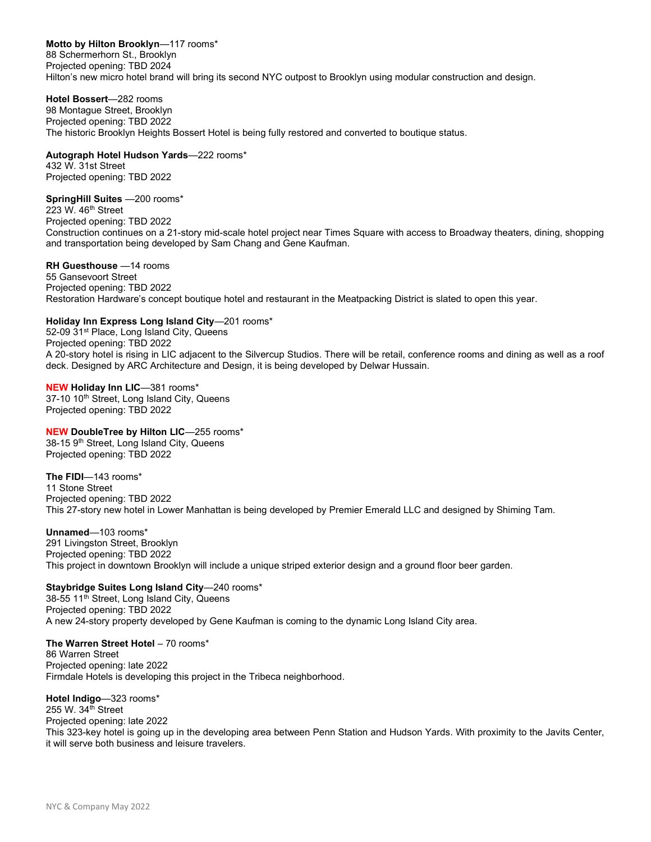Motto by Hilton Brooklyn-117 rooms\* 88 Schermerhorn St., Brooklyn Projected opening: TBD 2024 Hilton's new micro hotel brand will bring its second NYC outpost to Brooklyn using modular construction and design.

Hotel Bossert—282 rooms 98 Montague Street, Brooklyn Projected opening: TBD 2022 The historic Brooklyn Heights Bossert Hotel is being fully restored and converted to boutique status.

#### Autograph Hotel Hudson Yards—222 rooms\*

432 W. 31st Street Projected opening: TBD 2022

# SpringHill Suites —200 rooms\*

223 W. 46<sup>th</sup> Street Projected opening: TBD 2022 Construction continues on a 21-story mid-scale hotel project near Times Square with access to Broadway theaters, dining, shopping and transportation being developed by Sam Chang and Gene Kaufman.

#### RH Guesthouse —14 rooms

55 Gansevoort Street Projected opening: TBD 2022 Restoration Hardware's concept boutique hotel and restaurant in the Meatpacking District is slated to open this year.

# Holiday Inn Express Long Island City—201 rooms\*

52-09 31<sup>st</sup> Place, Long Island City, Queens Projected opening: TBD 2022 A 20-story hotel is rising in LIC adjacent to the Silvercup Studios. There will be retail, conference rooms and dining as well as a roof deck. Designed by ARC Architecture and Design, it is being developed by Delwar Hussain.

#### NEW Holiday Inn LIC—381 rooms\* 37-10 10<sup>th</sup> Street, Long Island City, Queens Projected opening: TBD 2022

NEW DoubleTree by Hilton LIC—255 rooms\* 38-15 9<sup>th</sup> Street, Long Island City, Queens Projected opening: TBD 2022

The FIDI—143 rooms\* 11 Stone Street Projected opening: TBD 2022 This 27-story new hotel in Lower Manhattan is being developed by Premier Emerald LLC and designed by Shiming Tam.

Unnamed—103 rooms\* 291 Livingston Street, Brooklyn Projected opening: TBD 2022 This project in downtown Brooklyn will include a unique striped exterior design and a ground floor beer garden.

# Staybridge Suites Long Island City—240 rooms\*

38-55 11<sup>th</sup> Street, Long Island City, Queens Projected opening: TBD 2022 A new 24-story property developed by Gene Kaufman is coming to the dynamic Long Island City area.

# The Warren Street Hotel – 70 rooms\*

86 Warren Street Projected opening: late 2022 Firmdale Hotels is developing this project in the Tribeca neighborhood.

# Hotel Indigo—323 rooms\*

255 W. 34th Street Projected opening: late 2022 This 323-key hotel is going up in the developing area between Penn Station and Hudson Yards. With proximity to the Javits Center, it will serve both business and leisure travelers.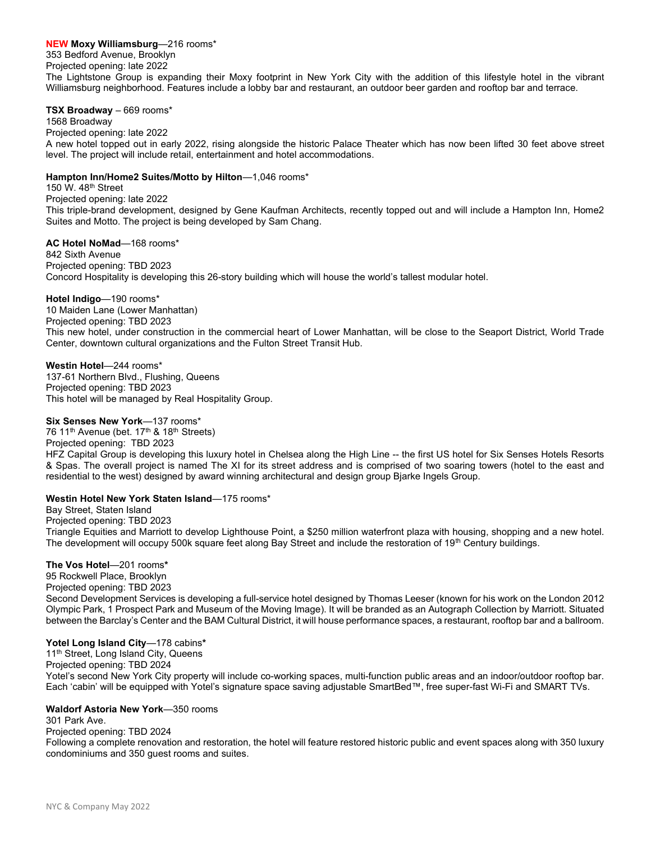### NEW Moxy Williamsburg—216 rooms\*

353 Bedford Avenue, Brooklyn Projected opening: late 2022

The Lightstone Group is expanding their Moxy footprint in New York City with the addition of this lifestyle hotel in the vibrant Williamsburg neighborhood. Features include a lobby bar and restaurant, an outdoor beer garden and rooftop bar and terrace.

#### TSX Broadway – 669 rooms\*

1568 Broadway

# Projected opening: late 2022

A new hotel topped out in early 2022, rising alongside the historic Palace Theater which has now been lifted 30 feet above street level. The project will include retail, entertainment and hotel accommodations.

#### Hampton Inn/Home2 Suites/Motto by Hilton—1,046 rooms\*

150 W. 48th Street

Projected opening: late 2022 This triple-brand development, designed by Gene Kaufman Architects, recently topped out and will include a Hampton Inn, Home2 Suites and Motto. The project is being developed by Sam Chang.

AC Hotel NoMad—168 rooms\* 842 Sixth Avenue Projected opening: TBD 2023 Concord Hospitality is developing this 26-story building which will house the world's tallest modular hotel.

#### Hotel Indigo—190 rooms\*

10 Maiden Lane (Lower Manhattan) Projected opening: TBD 2023 This new hotel, under construction in the commercial heart of Lower Manhattan, will be close to the Seaport District, World Trade Center, downtown cultural organizations and the Fulton Street Transit Hub.

Westin Hotel—244 rooms\* 137-61 Northern Blvd., Flushing, Queens Projected opening: TBD 2023 This hotel will be managed by Real Hospitality Group.

#### Six Senses New York-137 rooms\*

76 11<sup>th</sup> Avenue (bet. 17<sup>th</sup> & 18<sup>th</sup> Streets) Projected opening: TBD 2023 HFZ Capital Group is developing this luxury hotel in Chelsea along the High Line -- the first US hotel for Six Senses Hotels Resorts & Spas. The overall project is named The XI for its street address and is comprised of two soaring towers (hotel to the east and residential to the west) designed by award winning architectural and design group Bjarke Ingels Group.

#### Westin Hotel New York Staten Island—175 rooms\*

Bay Street, Staten Island Projected opening: TBD 2023 Triangle Equities and Marriott to develop Lighthouse Point, a \$250 million waterfront plaza with housing, shopping and a new hotel. The development will occupy 500k square feet along Bay Street and include the restoration of 19<sup>th</sup> Century buildings.

#### The Vos Hotel—201 rooms\*

95 Rockwell Place, Brooklyn Projected opening: TBD 2023 Second Development Services is developing a full-service hotel designed by Thomas Leeser (known for his work on the London 2012 Olympic Park, 1 Prospect Park and Museum of the Moving Image). It will be branded as an Autograph Collection by Marriott. Situated between the Barclay's Center and the BAM Cultural District, it will house performance spaces, a restaurant, rooftop bar and a ballroom.

#### Yotel Long Island City-178 cabins\*

11<sup>th</sup> Street, Long Island City, Queens Projected opening: TBD 2024 Yotel's second New York City property will include co-working spaces, multi-function public areas and an indoor/outdoor rooftop bar. Each 'cabin' will be equipped with Yotel's signature space saving adjustable SmartBed™, free super-fast Wi-Fi and SMART TVs.

#### Waldorf Astoria New York—350 rooms

301 Park Ave.

Projected opening: TBD 2024

Following a complete renovation and restoration, the hotel will feature restored historic public and event spaces along with 350 luxury condominiums and 350 guest rooms and suites.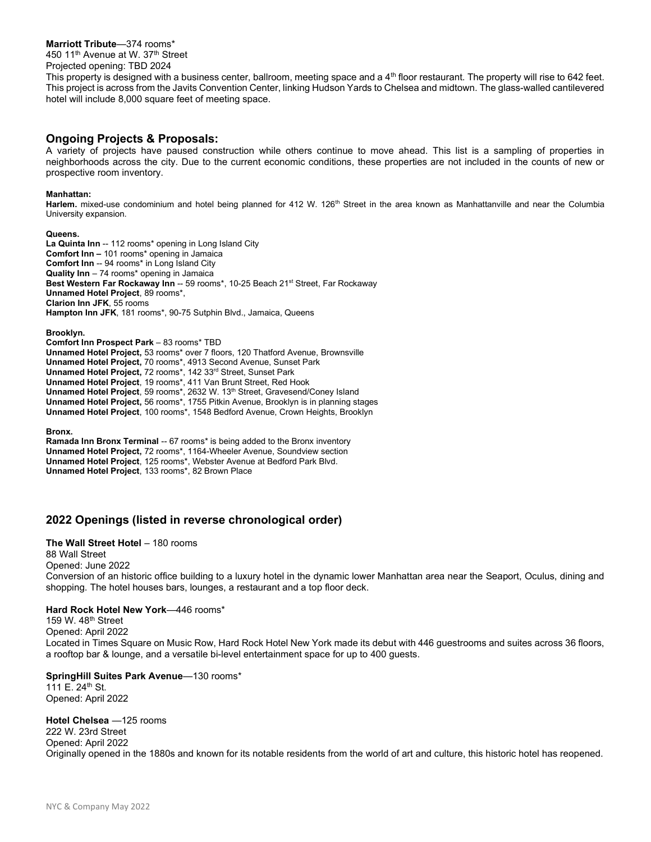#### Marriott Tribute—374 rooms\*

450 11<sup>th</sup> Avenue at W. 37<sup>th</sup> Street

Projected opening: TBD 2024

This property is designed with a business center, ballroom, meeting space and a  $4<sup>th</sup>$  floor restaurant. The property will rise to 642 feet. This project is across from the Javits Convention Center, linking Hudson Yards to Chelsea and midtown. The glass-walled cantilevered hotel will include 8,000 square feet of meeting space.

# Ongoing Projects & Proposals:

A variety of projects have paused construction while others continue to move ahead. This list is a sampling of properties in neighborhoods across the city. Due to the current economic conditions, these properties are not included in the counts of new or prospective room inventory.

#### Manhattan:

Harlem. mixed-use condominium and hotel being planned for 412 W. 126<sup>th</sup> Street in the area known as Manhattanville and near the Columbia University expansion.

#### Queens.

La Quinta Inn -- 112 rooms\* opening in Long Island City Comfort Inn – 101 rooms\* opening in Jamaica Comfort Inn -- 94 rooms\* in Long Island City Quality Inn – 74 rooms\* opening in Jamaica Best Western Far Rockaway Inn -- 59 rooms\*, 10-25 Beach 21<sup>st</sup> Street, Far Rockaway Unnamed Hotel Project, 89 rooms\*, Clarion Inn JFK, 55 rooms Hampton Inn JFK, 181 rooms\*, 90-75 Sutphin Blvd., Jamaica, Queens

Brooklyn.

Comfort Inn Prospect Park – 83 rooms\* TBD Unnamed Hotel Project, 53 rooms\* over 7 floors, 120 Thatford Avenue, Brownsville Unnamed Hotel Project, 70 rooms\*, 4913 Second Avenue, Sunset Park Unnamed Hotel Project, 72 rooms\*, 142 33<sup>rd</sup> Street, Sunset Park Unnamed Hotel Project, 19 rooms\*, 411 Van Brunt Street, Red Hook Unnamed Hotel Project, 59 rooms\*, 2632 W. 13<sup>th</sup> Street, Gravesend/Coney Island Unnamed Hotel Project, 56 rooms\*, 1755 Pitkin Avenue, Brooklyn is in planning stages Unnamed Hotel Project, 100 rooms\*, 1548 Bedford Avenue, Crown Heights, Brooklyn

Bronx.

Ramada Inn Bronx Terminal -- 67 rooms\* is being added to the Bronx inventory Unnamed Hotel Project, 72 rooms\*, 1164-Wheeler Avenue, Soundview section Unnamed Hotel Project, 125 rooms\*, Webster Avenue at Bedford Park Blvd. Unnamed Hotel Project, 133 rooms\*, 82 Brown Place

# 2022 Openings (listed in reverse chronological order)

## The Wall Street Hotel - 180 rooms

88 Wall Street Opened: June 2022 Conversion of an historic office building to a luxury hotel in the dynamic lower Manhattan area near the Seaport, Oculus, dining and shopping. The hotel houses bars, lounges, a restaurant and a top floor deck.

#### Hard Rock Hotel New York—446 rooms\*

159 W. 48th Street Opened: April 2022 Located in Times Square on Music Row, Hard Rock Hotel New York made its debut with 446 guestrooms and suites across 36 floors, a rooftop bar & lounge, and a versatile bi-level entertainment space for up to 400 guests.

#### SpringHill Suites Park Avenue—130 rooms\*

111 E. 24<sup>th</sup> St. Opened: April 2022

#### Hotel Chelsea —125 rooms

222 W. 23rd Street Opened: April 2022 Originally opened in the 1880s and known for its notable residents from the world of art and culture, this historic hotel has reopened.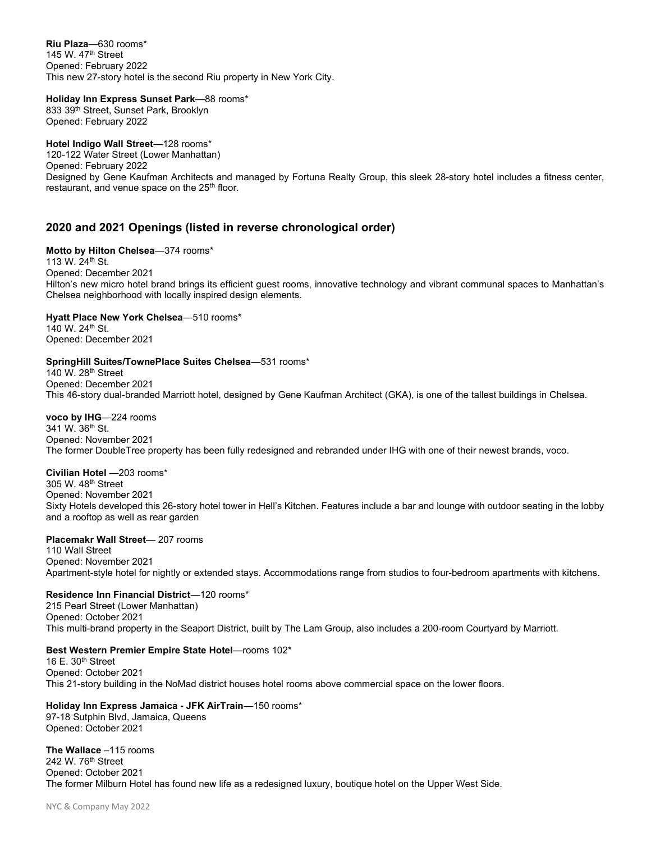Riu Plaza—630 rooms\* 145 W. 47th Street Opened: February 2022 This new 27-story hotel is the second Riu property in New York City.

# Holiday Inn Express Sunset Park—88 rooms\*

833 39<sup>th</sup> Street, Sunset Park, Brooklyn Opened: February 2022

# Hotel Indigo Wall Street-128 rooms\*

120-122 Water Street (Lower Manhattan) Opened: February 2022 Designed by Gene Kaufman Architects and managed by Fortuna Realty Group, this sleek 28-story hotel includes a fitness center, restaurant, and venue space on the 25<sup>th</sup> floor.

# 2020 and 2021 Openings (listed in reverse chronological order)

#### Motto by Hilton Chelsea-374 rooms\*

113 W. 24th St. Opened: December 2021 Hilton's new micro hotel brand brings its efficient guest rooms, innovative technology and vibrant communal spaces to Manhattan's Chelsea neighborhood with locally inspired design elements.

# Hyatt Place New York Chelsea—510 rooms\*

140 W. 24th St. Opened: December 2021

#### SpringHill Suites/TownePlace Suites Chelsea—531 rooms\*

140 W. 28th Street Opened: December 2021 This 46-story dual-branded Marriott hotel, designed by Gene Kaufman Architect (GKA), is one of the tallest buildings in Chelsea.

# voco by IHG—224 rooms

341 W. 36<sup>th</sup> St. Opened: November 2021 The former DoubleTree property has been fully redesigned and rebranded under IHG with one of their newest brands, voco.

# Civilian Hotel —203 rooms\* 305 W. 48th Street

Opened: November 2021 Sixty Hotels developed this 26-story hotel tower in Hell's Kitchen. Features include a bar and lounge with outdoor seating in the lobby and a rooftop as well as rear garden

#### Placemakr Wall Street— 207 rooms

110 Wall Street Opened: November 2021 Apartment-style hotel for nightly or extended stays. Accommodations range from studios to four-bedroom apartments with kitchens.

# Residence Inn Financial District—120 rooms\*

215 Pearl Street (Lower Manhattan) Opened: October 2021 This multi-brand property in the Seaport District, built by The Lam Group, also includes a 200-room Courtyard by Marriott.

# Best Western Premier Empire State Hotel—rooms 102\*

16 E. 30th Street Opened: October 2021 This 21-story building in the NoMad district houses hotel rooms above commercial space on the lower floors.

#### Holiday Inn Express Jamaica - JFK AirTrain—150 rooms\* 97-18 Sutphin Blvd, Jamaica, Queens Opened: October 2021

The Wallace –115 rooms 242 W. 76<sup>th</sup> Street Opened: October 2021 The former Milburn Hotel has found new life as a redesigned luxury, boutique hotel on the Upper West Side.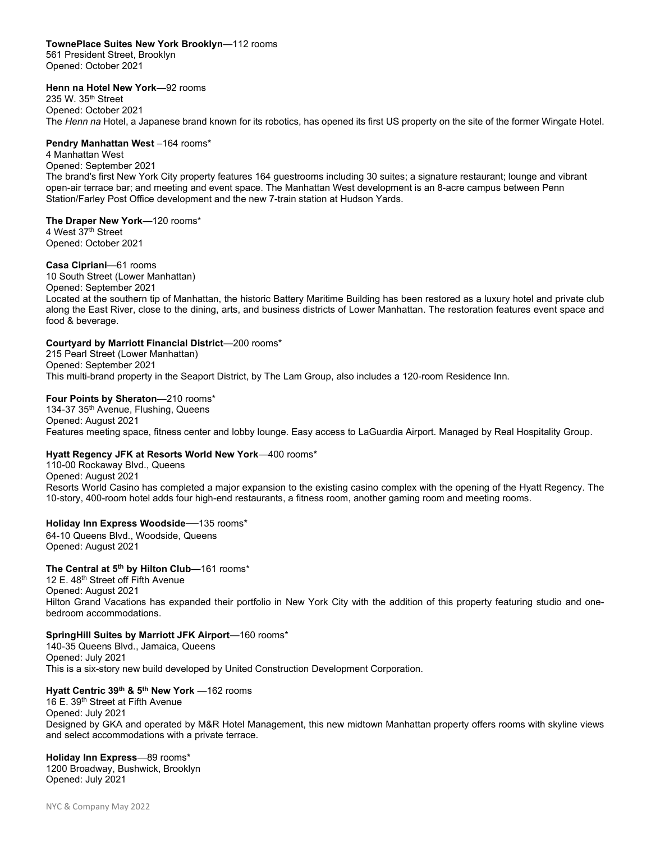#### TownePlace Suites New York Brooklyn—112 rooms

561 President Street, Brooklyn Opened: October 2021

#### Henn na Hotel New York—92 rooms

235 W. 35th Street Opened: October 2021 The Henn na Hotel, a Japanese brand known for its robotics, has opened its first US property on the site of the former Wingate Hotel.

### Pendry Manhattan West-164 rooms\*

4 Manhattan West Opened: September 2021 The brand's first New York City property features 164 guestrooms including 30 suites; a signature restaurant; lounge and vibrant open-air terrace bar; and meeting and event space. The Manhattan West development is an 8-acre campus between Penn Station/Farley Post Office development and the new 7-train station at Hudson Yards.

#### The Draper New York-120 rooms\*

4 West 37<sup>th</sup> Street Opened: October 2021

#### Casa Cipriani—61 rooms

10 South Street (Lower Manhattan) Opened: September 2021 Located at the southern tip of Manhattan, the historic Battery Maritime Building has been restored as a luxury hotel and private club along the East River, close to the dining, arts, and business districts of Lower Manhattan. The restoration features event space and food & beverage.

#### Courtyard by Marriott Financial District—200 rooms\*

215 Pearl Street (Lower Manhattan) Opened: September 2021 This multi-brand property in the Seaport District, by The Lam Group, also includes a 120-room Residence Inn.

# Four Points by Sheraton—210 rooms\*

134-37 35<sup>th</sup> Avenue, Flushing, Queens Opened: August 2021 Features meeting space, fitness center and lobby lounge. Easy access to LaGuardia Airport. Managed by Real Hospitality Group.

#### Hyatt Regency JFK at Resorts World New York—400 rooms\*

110-00 Rockaway Blvd., Queens Opened: August 2021 Resorts World Casino has completed a major expansion to the existing casino complex with the opening of the Hyatt Regency. The 10-story, 400-room hotel adds four high-end restaurants, a fitness room, another gaming room and meeting rooms.

#### Holiday Inn Express Woodside—135 rooms\*

64-10 Queens Blvd., Woodside, Queens Opened: August 2021

# The Central at 5<sup>th</sup> by Hilton Club-161 rooms\*

12 E. 48<sup>th</sup> Street off Fifth Avenue Opened: August 2021 Hilton Grand Vacations has expanded their portfolio in New York City with the addition of this property featuring studio and onebedroom accommodations.

#### SpringHill Suites by Marriott JFK Airport—160 rooms\*

140-35 Queens Blvd., Jamaica, Queens Opened: July 2021 This is a six-story new build developed by United Construction Development Corporation.

# Hyatt Centric 39<sup>th</sup> & 5<sup>th</sup> New York -162 rooms

16 E. 39<sup>th</sup> Street at Fifth Avenue Opened: July 2021 Designed by GKA and operated by M&R Hotel Management, this new midtown Manhattan property offers rooms with skyline views and select accommodations with a private terrace.

#### Holiday Inn Express—89 rooms\* 1200 Broadway, Bushwick, Brooklyn Opened: July 2021